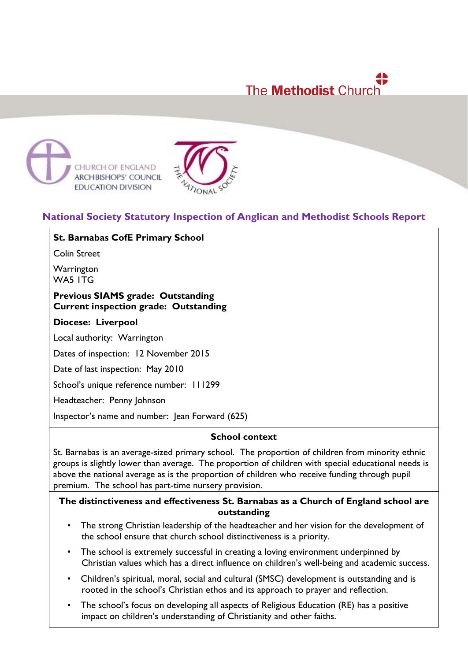# ₩ The **Methodist** Church





## **National Society Statutory Inspection of Anglican and Methodist Schools Report**

**St. Barnabas CofE Primary School**

Colin Street

**Warrington** WA5 ITG

#### **Previous SIAMS grade: Outstanding Current inspection grade: Outstanding**

#### **Diocese: Liverpool**

Local authority: Warrington

Dates of inspection: 12 November 2015

Date of last inspection: May 2010

School's unique reference number: 111299

Headteacher: Penny Johnson

Inspector's name and number: Jean Forward (625)

#### **School context**

St. Barnabas is an average-sized primary school. The proportion of children from minority ethnic groups is slightly lower than average. The proportion of children with special educational needs is above the national average as is the proportion of children who receive funding through pupil premium. The school has part-time nursery provision.

#### **The distinctiveness and effectiveness St. Barnabas as a Church of England school are outstanding**

- The strong Christian leadership of the headteacher and her vision for the development of the school ensure that church school distinctiveness is a priority.
- The school is extremely successful in creating a loving environment underpinned by Christian values which has a direct influence on children's well-being and academic success.
- Children's spiritual, moral, social and cultural (SMSC) development is outstanding and is rooted in the school's Christian ethos and its approach to prayer and reflection.
- The school's focus on developing all aspects of Religious Education (RE) has a positive impact on children's understanding of Christianity and other faiths.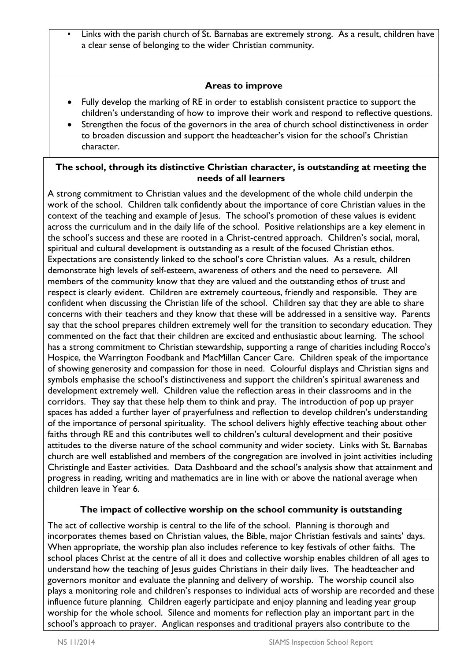• Links with the parish church of St. Barnabas are extremely strong. As a result, children have a clear sense of belonging to the wider Christian community.

## **Areas to improve**

- Fully develop the marking of RE in order to establish consistent practice to support the children's understanding of how to improve their work and respond to reflective questions.
- Strengthen the focus of the governors in the area of church school distinctiveness in order to broaden discussion and support the headteacher's vision for the school's Christian character.

#### **The school, through its distinctive Christian character, is outstanding at meeting the needs of all learners**

A strong commitment to Christian values and the development of the whole child underpin the work of the school. Children talk confidently about the importance of core Christian values in the context of the teaching and example of Jesus. The school's promotion of these values is evident across the curriculum and in the daily life of the school. Positive relationships are a key element in the school's success and these are rooted in a Christ-centred approach. Children's social, moral, spiritual and cultural development is outstanding as a result of the focused Christian ethos. Expectations are consistently linked to the school's core Christian values. As a result, children demonstrate high levels of self-esteem, awareness of others and the need to persevere. All members of the community know that they are valued and the outstanding ethos of trust and respect is clearly evident. Children are extremely courteous, friendly and responsible. They are confident when discussing the Christian life of the school. Children say that they are able to share concerns with their teachers and they know that these will be addressed in a sensitive way. Parents say that the school prepares children extremely well for the transition to secondary education. They commented on the fact that their children are excited and enthusiastic about learning. The school has a strong commitment to Christian stewardship, supporting a range of charities including Rocco's Hospice, the Warrington Foodbank and MacMillan Cancer Care. Children speak of the importance of showing generosity and compassion for those in need. Colourful displays and Christian signs and symbols emphasise the school's distinctiveness and support the children's spiritual awareness and development extremely well. Children value the reflection areas in their classrooms and in the corridors. They say that these help them to think and pray. The introduction of pop up prayer spaces has added a further layer of prayerfulness and reflection to develop children's understanding of the importance of personal spirituality. The school delivers highly effective teaching about other faiths through RE and this contributes well to children's cultural development and their positive attitudes to the diverse nature of the school community and wider society. Links with St. Barnabas church are well established and members of the congregation are involved in joint activities including Christingle and Easter activities. Data Dashboard and the school's analysis show that attainment and progress in reading, writing and mathematics are in line with or above the national average when children leave in Year 6.

## **The impact of collective worship on the school community is outstanding**

The act of collective worship is central to the life of the school. Planning is thorough and incorporates themes based on Christian values, the Bible, major Christian festivals and saints' days. When appropriate, the worship plan also includes reference to key festivals of other faiths. The school places Christ at the centre of all it does and collective worship enables children of all ages to understand how the teaching of Jesus guides Christians in their daily lives. The headteacher and governors monitor and evaluate the planning and delivery of worship. The worship council also plays a monitoring role and children's responses to individual acts of worship are recorded and these influence future planning. Children eagerly participate and enjoy planning and leading year group worship for the whole school. Silence and moments for reflection play an important part in the school's approach to prayer. Anglican responses and traditional prayers also contribute to the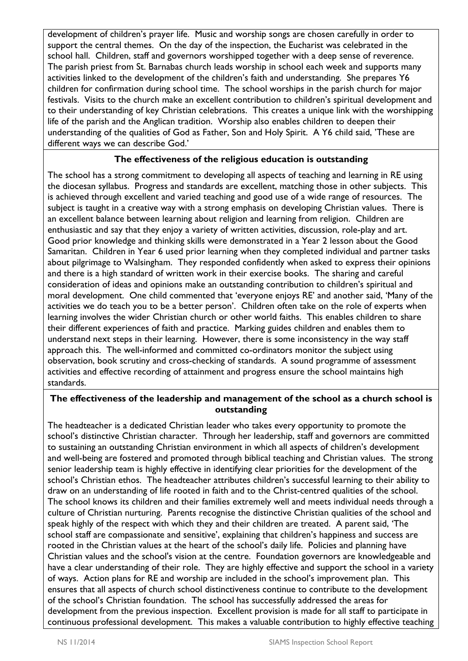development of children's prayer life. Music and worship songs are chosen carefully in order to support the central themes. On the day of the inspection, the Eucharist was celebrated in the school hall. Children, staff and governors worshipped together with a deep sense of reverence. The parish priest from St. Barnabas church leads worship in school each week and supports many activities linked to the development of the children's faith and understanding. She prepares Y6 children for confirmation during school time. The school worships in the parish church for major festivals. Visits to the church make an excellent contribution to children's spiritual development and to their understanding of key Christian celebrations. This creates a unique link with the worshipping life of the parish and the Anglican tradition. Worship also enables children to deepen their understanding of the qualities of God as Father, Son and Holy Spirit. A Y6 child said, 'These are different ways we can describe God.'

## **The effectiveness of the religious education is outstanding**

The school has a strong commitment to developing all aspects of teaching and learning in RE using the diocesan syllabus. Progress and standards are excellent, matching those in other subjects. This is achieved through excellent and varied teaching and good use of a wide range of resources. The subject is taught in a creative way with a strong emphasis on developing Christian values. There is an excellent balance between learning about religion and learning from religion. Children are enthusiastic and say that they enjoy a variety of written activities, discussion, role-play and art. Good prior knowledge and thinking skills were demonstrated in a Year 2 lesson about the Good Samaritan. Children in Year 6 used prior learning when they completed individual and partner tasks about pilgrimage to Walsingham. They responded confidently when asked to express their opinions and there is a high standard of written work in their exercise books. The sharing and careful consideration of ideas and opinions make an outstanding contribution to children's spiritual and moral development. One child commented that 'everyone enjoys RE' and another said, 'Many of the activities we do teach you to be a better person'. Children often take on the role of experts when learning involves the wider Christian church or other world faiths. This enables children to share their different experiences of faith and practice. Marking guides children and enables them to understand next steps in their learning. However, there is some inconsistency in the way staff approach this. The well-informed and committed co-ordinators monitor the subject using observation, book scrutiny and cross-checking of standards. A sound programme of assessment activities and effective recording of attainment and progress ensure the school maintains high standards.

## **The effectiveness of the leadership and management of the school as a church school is outstanding**

The headteacher is a dedicated Christian leader who takes every opportunity to promote the school's distinctive Christian character. Through her leadership, staff and governors are committed to sustaining an outstanding Christian environment in which all aspects of children's development and well-being are fostered and promoted through biblical teaching and Christian values. The strong senior leadership team is highly effective in identifying clear priorities for the development of the school's Christian ethos. The headteacher attributes children's successful learning to their ability to draw on an understanding of life rooted in faith and to the Christ-centred qualities of the school. The school knows its children and their families extremely well and meets individual needs through a culture of Christian nurturing. Parents recognise the distinctive Christian qualities of the school and speak highly of the respect with which they and their children are treated. A parent said, 'The school staff are compassionate and sensitive', explaining that children's happiness and success are rooted in the Christian values at the heart of the school's daily life. Policies and planning have Christian values and the school's vision at the centre. Foundation governors are knowledgeable and have a clear understanding of their role. They are highly effective and support the school in a variety of ways.Action plans for RE and worship are included in the school's improvement plan. This ensures that all aspects of church school distinctiveness continue to contribute to the development of the school's Christian foundation. The school has successfully addressed the areas for development from the previous inspection. Excellent provision is made for all staff to participate in continuous professional development. This makes a valuable contribution to highly effective teaching